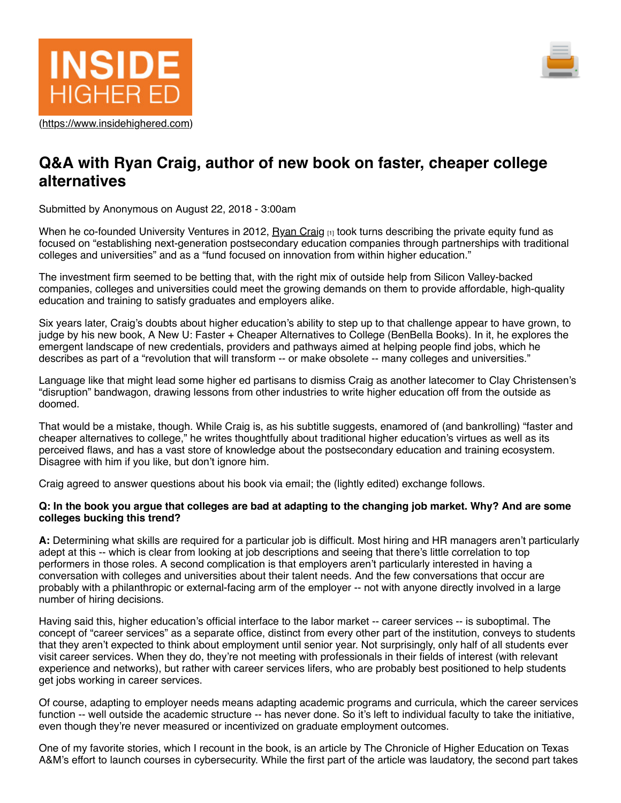



# **Q&A with Ryan Craig, author of new book on faster, cheaper college alternatives**

Submitted by Anonymous on August 22, 2018 - 3:00am

When he co-founded University Ventures in 2012, Ryan Craig [1] took turns describing the private equity fund as focused on "establishing next-generation postsecondary education companies through partnerships with traditional colleges and universities" and as a "fund focused on innovation from within higher education."

The investment firm seemed to be betting that, with the right mix of outside help from Silicon Valley-backed companies, colleges and universities could meet the growing demands on them to provide affordable, high-quality education and training to satisfy graduates and employers alike.

Six years later, Craig's doubts about higher education's ability to step up to that challenge appear to have grown, to judge by his new book, A New U: Faster + Cheaper Alternatives to College (BenBella Books). In it, he explores the emergent landscape of new credentials, providers and pathways aimed at helping people find jobs, which he describes as part of a "revolution that will transform -- or make obsolete -- many colleges and universities."

Language like that might lead some higher ed partisans to dismiss Craig as another latecomer to Clay Christensen's "disruption" bandwagon, drawing lessons from other industries to write higher education off from the outside as doomed.

That would be a mistake, though. While Craig is, as his subtitle suggests, enamored of (and bankrolling) "faster and cheaper alternatives to college," he writes thoughtfully about traditional higher education's virtues as well as its perceived flaws, and has a vast store of knowledge about the postsecondary education and training ecosystem. Disagree with him if you like, but don't ignore him.

Craig agreed to answer questions about his book via email; the (lightly edited) exchange follows.

### **Q: In the book you argue that colleges are bad at adapting to the changing job market. Why? And are some colleges bucking this trend?**

**A:** Determining what skills are required for a particular job is difficult. Most hiring and HR managers aren't particularly adept at this -- which is clear from looking at job descriptions and seeing that there's little correlation to top performers in those roles. A second complication is that employers aren't particularly interested in having a conversation with colleges and universities about their talent needs. And the few conversations that occur are probably with a philanthropic or external-facing arm of the employer -- not with anyone directly involved in a large number of hiring decisions.

Having said this, higher education's official interface to the labor market -- career services -- is suboptimal. The concept of "career services" as a separate office, distinct from every other part of the institution, conveys to students that they aren't expected to think about employment until senior year. Not surprisingly, only half of all students ever visit career services. When they do, they're not meeting with professionals in their fields of interest (with relevant experience and networks), but rather with career services lifers, who are probably best positioned to help students get jobs working in career services.

Of course, adapting to employer needs means adapting academic programs and curricula, which the career services function -- well outside the academic structure -- has never done. So it's left to individual faculty to take the initiative, even though they're never measured or incentivized on graduate employment outcomes.

One of my favorite stories, which I recount in the book, is an article by The Chronicle of Higher Education on Texas A&M's effort to launch courses in cybersecurity. While the first part of the article was laudatory, the second part takes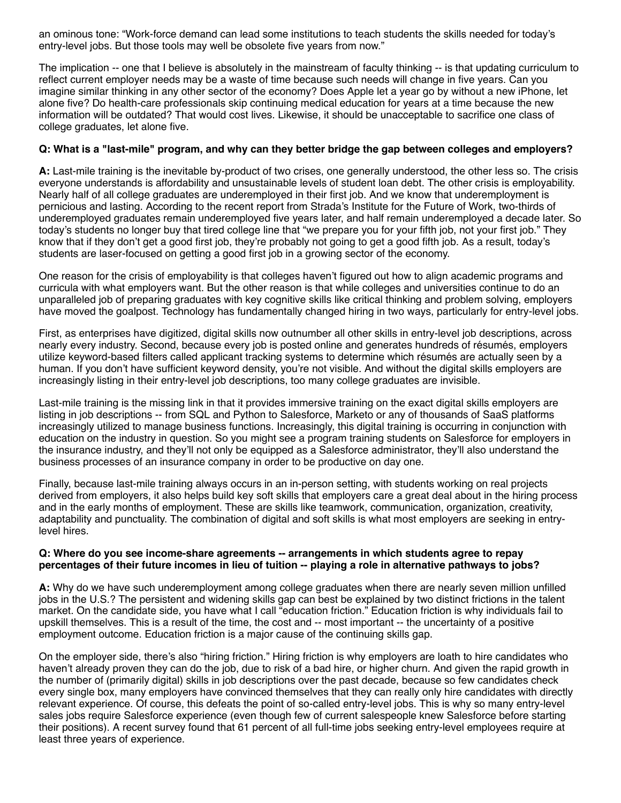an ominous tone: "Work-force demand can lead some institutions to teach students the skills needed for today's entry-level jobs. But those tools may well be obsolete five years from now."

The implication -- one that I believe is absolutely in the mainstream of faculty thinking -- is that updating curriculum to reflect current employer needs may be a waste of time because such needs will change in five years. Can you imagine similar thinking in any other sector of the economy? Does Apple let a year go by without a new iPhone, let alone five? Do health-care professionals skip continuing medical education for years at a time because the new information will be outdated? That would cost lives. Likewise, it should be unacceptable to sacrifice one class of college graduates, let alone five.

## **Q: What is a "last-mile" program, and why can they better bridge the gap between colleges and employers?**

**A:** Last-mile training is the inevitable by-product of two crises, one generally understood, the other less so. The crisis everyone understands is affordability and unsustainable levels of student loan debt. The other crisis is employability. Nearly half of all college graduates are underemployed in their first job. And we know that underemployment is pernicious and lasting. According to the recent report from Strada's Institute for the Future of Work, two-thirds of underemployed graduates remain underemployed five years later, and half remain underemployed a decade later. So today's students no longer buy that tired college line that "we prepare you for your fifth job, not your first job." They know that if they don't get a good first job, they're probably not going to get a good fifth job. As a result, today's students are laser-focused on getting a good first job in a growing sector of the economy.

One reason for the crisis of employability is that colleges haven't figured out how to align academic programs and curricula with what employers want. But the other reason is that while colleges and universities continue to do an unparalleled job of preparing graduates with key cognitive skills like critical thinking and problem solving, employers have moved the goalpost. Technology has fundamentally changed hiring in two ways, particularly for entry-level jobs.

First, as enterprises have digitized, digital skills now outnumber all other skills in entry-level job descriptions, across nearly every industry. Second, because every job is posted online and generates hundreds of résumés, employers utilize keyword-based filters called applicant tracking systems to determine which résumés are actually seen by a human. If you don't have sufficient keyword density, you're not visible. And without the digital skills employers are increasingly listing in their entry-level job descriptions, too many college graduates are invisible.

Last-mile training is the missing link in that it provides immersive training on the exact digital skills employers are listing in job descriptions -- from SQL and Python to Salesforce, Marketo or any of thousands of SaaS platforms increasingly utilized to manage business functions. Increasingly, this digital training is occurring in conjunction with education on the industry in question. So you might see a program training students on Salesforce for employers in the insurance industry, and they'll not only be equipped as a Salesforce administrator, they'll also understand the business processes of an insurance company in order to be productive on day one.

Finally, because last-mile training always occurs in an in-person setting, with students working on real projects derived from employers, it also helps build key soft skills that employers care a great deal about in the hiring process and in the early months of employment. These are skills like teamwork, communication, organization, creativity, adaptability and punctuality. The combination of digital and soft skills is what most employers are seeking in entrylevel hires.

#### **Q: Where do you see income-share agreements -- arrangements in which students agree to repay percentages of their future incomes in lieu of tuition -- playing a role in alternative pathways to jobs?**

**A:** Why do we have such underemployment among college graduates when there are nearly seven million unfilled jobs in the U.S.? The persistent and widening skills gap can best be explained by two distinct frictions in the talent market. On the candidate side, you have what I call "education friction." Education friction is why individuals fail to upskill themselves. This is a result of the time, the cost and -- most important -- the uncertainty of a positive employment outcome. Education friction is a major cause of the continuing skills gap.

On the employer side, there's also "hiring friction." Hiring friction is why employers are loath to hire candidates who haven't already proven they can do the job, due to risk of a bad hire, or higher churn. And given the rapid growth in the number of (primarily digital) skills in job descriptions over the past decade, because so few candidates check every single box, many employers have convinced themselves that they can really only hire candidates with directly relevant experience. Of course, this defeats the point of so-called entry-level jobs. This is why so many entry-level sales jobs require Salesforce experience (even though few of current salespeople knew Salesforce before starting their positions). A recent survey found that 61 percent of all full-time jobs seeking entry-level employees require at least three years of experience.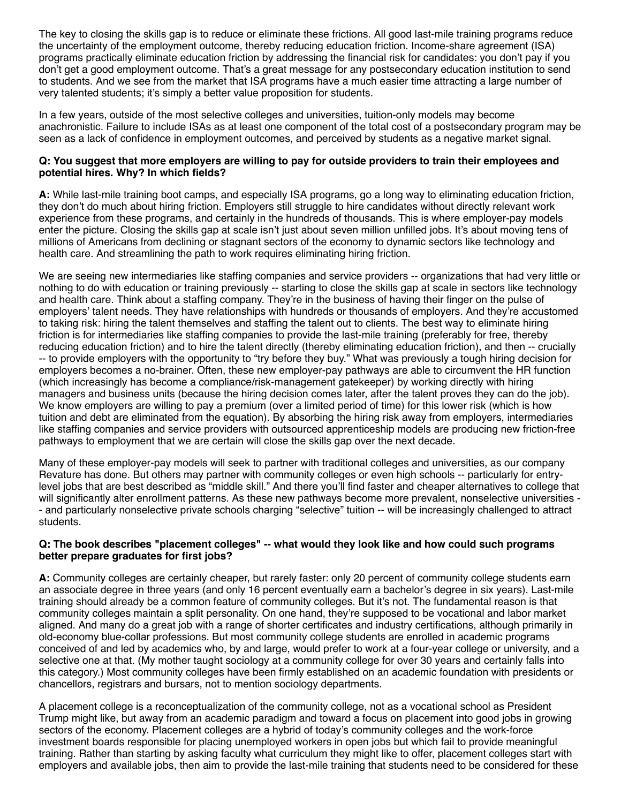The key to closing the skills gap is to reduce or eliminate these frictions. All good last-mile training programs reduce the uncertainty of the employment outcome, thereby reducing education friction. Income-share agreement (ISA) programs practically eliminate education friction by addressing the financial risk for candidates: you don't pay if you don't get a good employment outcome. That's a great message for any postsecondary education institution to send to students. And we see from the market that ISA programs have a much easier time attracting a large number of very talented students; it's simply a better value proposition for students.

In a few years, outside of the most selective colleges and universities, tuition-only models may become anachronistic. Failure to include ISAs as at least one component of the total cost of a postsecondary program may be seen as a lack of confidence in employment outcomes, and perceived by students as a negative market signal.

### **Q: You suggest that more employers are willing to pay for outside providers to train their employees and potential hires. Why? In which fields?**

**A:** While last-mile training boot camps, and especially ISA programs, go a long way to eliminating education friction, they don't do much about hiring friction. Employers still struggle to hire candidates without directly relevant work experience from these programs, and certainly in the hundreds of thousands. This is where employer-pay models enter the picture. Closing the skills gap at scale isn't just about seven million unfilled jobs. It's about moving tens of millions of Americans from declining or stagnant sectors of the economy to dynamic sectors like technology and health care. And streamlining the path to work requires eliminating hiring friction.

We are seeing new intermediaries like staffing companies and service providers -- organizations that had very little or nothing to do with education or training previously -- starting to close the skills gap at scale in sectors like technology and health care. Think about a staffing company. They're in the business of having their finger on the pulse of employers' talent needs. They have relationships with hundreds or thousands of employers. And they're accustomed to taking risk: hiring the talent themselves and staffing the talent out to clients. The best way to eliminate hiring friction is for intermediaries like staffing companies to provide the last-mile training (preferably for free, thereby reducing education friction) and to hire the talent directly (thereby eliminating education friction), and then -- crucially -- to provide employers with the opportunity to "try before they buy." What was previously a tough hiring decision for employers becomes a no-brainer. Often, these new employer-pay pathways are able to circumvent the HR function (which increasingly has become a compliance/risk-management gatekeeper) by working directly with hiring managers and business units (because the hiring decision comes later, after the talent proves they can do the job). We know employers are willing to pay a premium (over a limited period of time) for this lower risk (which is how tuition and debt are eliminated from the equation). By absorbing the hiring risk away from employers, intermediaries like staffing companies and service providers with outsourced apprenticeship models are producing new friction-free pathways to employment that we are certain will close the skills gap over the next decade.

Many of these employer-pay models will seek to partner with traditional colleges and universities, as our company Revature has done. But others may partner with community colleges or even high schools -- particularly for entrylevel jobs that are best described as "middle skill." And there you'll find faster and cheaper alternatives to college that will significantly alter enrollment patterns. As these new pathways become more prevalent, nonselective universities - - and particularly nonselective private schools charging "selective" tuition -- will be increasingly challenged to attract students.

### **Q: The book describes "placement colleges" -- what would they look like and how could such programs better prepare graduates for first jobs?**

**A:** Community colleges are certainly cheaper, but rarely faster: only 20 percent of community college students earn an associate degree in three years (and only 16 percent eventually earn a bachelor's degree in six years). Last-mile training should already be a common feature of community colleges. But it's not. The fundamental reason is that community colleges maintain a split personality. On one hand, they're supposed to be vocational and labor market aligned. And many do a great job with a range of shorter certificates and industry certifications, although primarily in old-economy blue-collar professions. But most community college students are enrolled in academic programs conceived of and led by academics who, by and large, would prefer to work at a four-year college or university, and a selective one at that. (My mother taught sociology at a community college for over 30 years and certainly falls into this category.) Most community colleges have been firmly established on an academic foundation with presidents or chancellors, registrars and bursars, not to mention sociology departments.

A placement college is a reconceptualization of the community college, not as a vocational school as President Trump might like, but away from an academic paradigm and toward a focus on placement into good jobs in growing sectors of the economy. Placement colleges are a hybrid of today's community colleges and the work-force investment boards responsible for placing unemployed workers in open jobs but which fail to provide meaningful training. Rather than starting by asking faculty what curriculum they might like to offer, placement colleges start with employers and available jobs, then aim to provide the last-mile training that students need to be considered for these